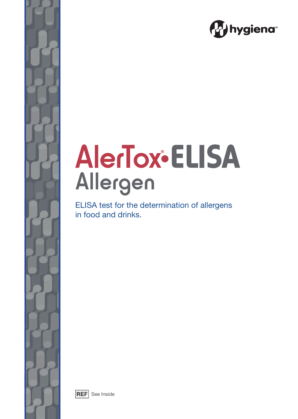

# **AlerTox®ELISA** Allergen

ELISA test for the determination of allergens in food and drinks.



 $|REF|$  See Inside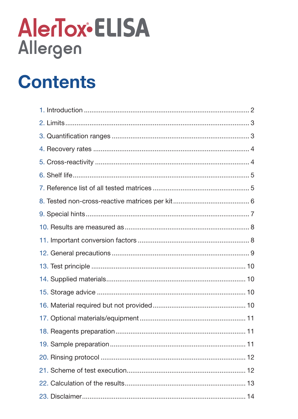# AlerTox•ELISA Allergen

# **Contents**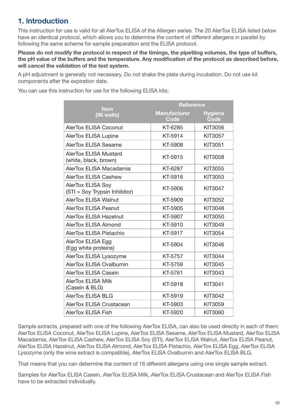## **1. lntroduction**

This instruction for use is valid for all AlerTox ELISA of the Allergen series. The 20 AlerTox ELISA listed below have an identical protocol, which allows you to determine the content of different allergens in parallel by following the same scheme for sample preparation and the ELISA protocol.

**Please do not modify the protocol in respect of the timings, the pipetting volumes, the type of buffers, the pH value of the buffers and the temperature. Any modification of the protocol as described before, will cancel the validation of the test system.**

A pH adjustment is generally not necessary. Do not shake the plate during incubation. Do not use kit components after the expiration date.

You can use this instruction for use for the following ELISA kits:

|                                                           | <b>Reference</b>            |                        |
|-----------------------------------------------------------|-----------------------------|------------------------|
| <b>Item</b><br>(96 wells)                                 | <b>Manufacturer</b><br>Code | <b>Hygiena</b><br>Code |
| <b>AlerTox ELISA Coconut</b>                              | KT-6285                     | KIT3056                |
| <b>AlerTox ELISA Lupine</b>                               | KT-5914                     | <b>KIT3057</b>         |
| <b>AlerTox ELISA Sesame</b>                               | KT-5908                     | KIT3051                |
| <b>AlerTox ELISA Mustard</b><br>(white, black, brown)     | KT-5915                     | <b>KIT3058</b>         |
| AlerTox ELISA Macadamia                                   | KT-6287                     | <b>KIT3055</b>         |
| <b>AlerTox ELISA Cashew</b>                               | KT-5916                     | <b>KIT3053</b>         |
| <b>AlerTox ELISA Soy</b><br>(STI = Soy Trypsin Inhibitor) | KT-5906                     | <b>KIT3047</b>         |
| <b>AlerTox ELISA Walnut</b>                               | KT-5909                     | <b>KIT3052</b>         |
| AlerTox ELISA Peanut                                      | KT-5905                     | <b>KIT3048</b>         |
| <b>AlerTox ELISA Hazelnut</b>                             | KT-5907                     | <b>KIT3050</b>         |
| AlerTox ELISA Almond                                      | KT-5910                     | <b>KIT3049</b>         |
| AlerTox ELISA Pistachio                                   | KT-5917                     | <b>KIT3054</b>         |
| AlerTox ELISA Egg<br>(Egg white proteins)                 | KT-5904                     | KIT3046                |
| AlerTox ELISA Lysozyme                                    | KT-5757                     | <b>KIT3044</b>         |
| AlerTox ELISA Ovalbumin                                   | KT-5759                     | <b>KIT3045</b>         |
| AlerTox ELISA Casein                                      | KT-5761                     | <b>KIT3043</b>         |
| <b>AlerTox ELISA Milk</b><br>(Casein & BLG)               | KT-5918                     | <b>KIT3041</b>         |
| <b>AlerTox ELISA BLG</b>                                  | KT-5919                     | <b>KIT3042</b>         |
| <b>AlerTox ELISA Crustacean</b>                           | KT-5903                     | <b>KIT3059</b>         |
| <b>AlerTox ELISA Fish</b>                                 | KT-5920                     | <b>KIT3060</b>         |

Sample extracts, prepared with one of the following AlerTox ELlSA, can also be used directly in each of them: AlerTox ELlSA Coconut, AlerTox ELlSA Lupine, AlerTox ELlSA Sesame, AlerTox ELlSA Mustard, AlerTox ELlSA Macadamia, AlerTox ELlSA Cashew, AlerTox ELlSA Soy (STl), AlerTox ELlSA Walnut, AlerTox ELlSA Peanut, AlerTox ELlSA Hazelnut, AlerTox ELlSA Almond, AlerTox ELlSA Pistachio, AlerTox ELlSA Egg, AlerTox ELlSA Lysozyme (only the wine extract is compatible), AlerTox ELlSA Ovalbumin and AlerTox ELlSA BLG.

That means that you can determine the content of 16 different allergens using one single sample extract.

Samples for AlerTox ELISA Casein, AlerTox ELISA Milk, AlerTox ELISA Crustacean and AlerTox ELISA Fish have to be extracted individually.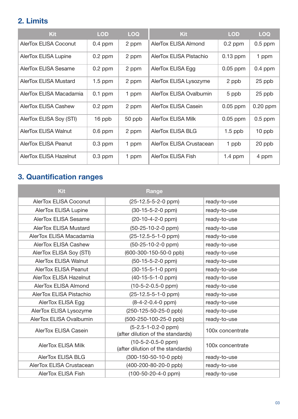## **2. Limits**

| <b>Kit</b>                    | <b>LOD</b> | <b>LOQ</b> | <b>Kit</b>                | <b>LOD</b> | <b>LOQ</b> |
|-------------------------------|------------|------------|---------------------------|------------|------------|
| <b>AlerTox ELISA Coconut</b>  | $0.4$ ppm  | 2 ppm      | AlerTox ELISA Almond      | $0.2$ ppm  | $0.5$ ppm  |
| <b>AlerTox ELISA Lupine</b>   | $0.2$ ppm  | 2 ppm      | AlerTox ELISA Pistachio   | $0.13$ ppm | 1 ppm      |
| AlerTox ELISA Sesame          | $0.2$ ppm  | 2 ppm      | AlerTox ELISA Egg         | $0.05$ ppm | $0.4$ ppm  |
| <b>AlerTox ELISA Mustard</b>  | $1.5$ ppm  | 2 ppm      | AlerTox ELISA Lysozyme    | 2 ppb      | 25 ppb     |
| AlerTox ELISA Macadamia       | $0.1$ ppm  | 1 ppm      | AlerTox ELISA Ovalbumin   | 5 ppb      | 25 ppb     |
| AlerTox ELISA Cashew          | $0.2$ ppm  | 2 ppm      | AlerTox ELISA Casein      | $0.05$ ppm | $0.20$ ppm |
| AlerTox ELISA Soy (STI)       | 16 ppb     | 50 ppb     | <b>AlerTox ELISA Milk</b> | $0.05$ ppm | $0.5$ ppm  |
| <b>AlerTox ELISA Walnut</b>   | $0.6$ ppm  | 2 ppm      | <b>AlerTox ELISA BLG</b>  | $1.5$ ppb  | 10 ppb     |
| <b>AlerTox ELISA Peanut</b>   | $0.3$ ppm  | 1 ppm      | AlerTox ELISA Crustacean  | 1 ppb      | 20 ppb     |
| <b>AlerTox ELISA Hazelnut</b> | $0.3$ ppm  | 1 ppm      | <b>AlerTox ELISA Fish</b> | 1.4 ppm    | 4 ppm      |

# **3. Quantification ranges**

| <b>Kit</b>                   | Range                                                      |                  |
|------------------------------|------------------------------------------------------------|------------------|
| AlerTox ELISA Coconut        | $(25-12.5-5-2-0$ ppm)                                      | ready-to-use     |
| AlerTox ELISA Lupine         | (30-15-5-2-0 ppm)                                          | ready-to-use     |
| AlerTox ELISA Sesame         | (20-10-4-2-0 ppm)                                          | ready-to-use     |
| <b>AlerTox ELISA Mustard</b> | $(50-25-10-2-0$ ppm)                                       | ready-to-use     |
| AlerTox ELISA Macadamia      | $(25-12.5-5-1-0$ ppm)                                      | ready-to-use     |
| <b>AlerTox ELISA Cashew</b>  | $(50-25-10-2-0$ ppm)                                       | ready-to-use     |
| AlerTox ELISA Soy (STI)      | (600-300-150-50-0 ppb)                                     | ready-to-use     |
| AlerTox ELISA Walnut         | $(50-15-5-2-0$ ppm)                                        | ready-to-use     |
| <b>AlerTox ELISA Peanut</b>  | $(30-15-5-1-0$ ppm)                                        | ready-to-use     |
| AlerTox ELISA Hazelnut       | $(40-15-5-1-0$ ppm)                                        | ready-to-use     |
| AlerTox ELISA Almond         | $(10-5-2-0.5-0$ ppm)                                       | ready-to-use     |
| AlerTox ELISA Pistachio      | $(25-12.5-5-1-0$ ppm)                                      | ready-to-use     |
| AlerTox ELISA Egg            | $(8-4-2-0.4-0$ ppm $)$                                     | ready-to-use     |
| AlerTox ELISA Lysozyme       | (250-125-50-25-0 ppb)                                      | ready-to-use     |
| AlerTox ELISA Ovalbumin      | (500-250-100-25-0 ppb)                                     | ready-to-use     |
| AlerTox ELISA Casein         | $(5-2.5-1-0.2-0$ ppm)<br>(after dilution of the standards) | 100x concentrate |
| <b>AlerTox ELISA Milk</b>    | $(10-5-2-0.5-0$ ppm)<br>(after dilution of the standards)  | 100x concentrate |
| <b>AlerTox ELISA BLG</b>     | (300-150-50-10-0 ppb)                                      | ready-to-use     |
| AlerTox ELISA Crustacean     | (400-200-80-20-0 ppb)                                      | ready-to-use     |
| <b>AlerTox ELISA Fish</b>    | $(100-50-20-4-0$ ppm)                                      | ready-to-use     |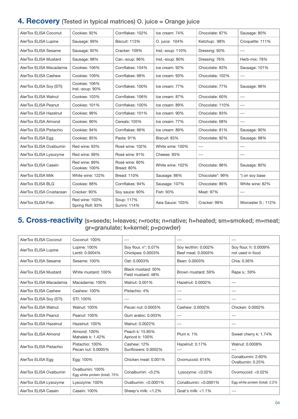## **4. Recovery** (Tested in typical matrices) O. juice = Orange juice

| AlerTox ELISA Coconut    | Cookies: 92%                       | Cornflakes: 102%             | Ice cream: 74%   | Chocolate: 87%  | Sausage: 80%       |
|--------------------------|------------------------------------|------------------------------|------------------|-----------------|--------------------|
| AlerTox ELISA Lupine     | Sausage: 99%                       | Biscuit: 113%                | O. juice: 104%   | Ketchup: 98%    | Croquette: 111%    |
| AlerTox ELISA Sesame     | Sausage: 92%                       | Cracker: 109%                | Inst.-soup: 110% | Dressing: 93%   | $---$              |
| AlerTox ELISA Mustard    | Sausage: 98%                       | Can.-soup: 96%               | Inst.-soup: 80%  | Dressing: 76%   | Herb-mix: 78%      |
| AlerTox ELISA Macadamia  | Cookies: 106%                      | Cornflakes: 104%             | Ice cream: 92%   | Chocolate: 83%  | Sausage: 101%      |
| AlerTox ELISA Cashew     | Cookies: 109%                      | Cornflakes: 98%              | Ice cream: 93%   | Chocolate: 102% | $---$              |
| AlerTox ELISA Soy (STI)  | Cookies: 106%<br>Inst.-soup: 90%   | Cornflakes: 100%             | Ice cream: 77%   | Chocolate: 77%  | Sausage: 96%       |
| AlerTox ELISA Walnut     | Cookies: 103%                      | Cornflakes: 106%             | Ice cream: 87%   | Chocolate: 60%  | $---$              |
| AlerTox ELISA Peanut     | Cookies: 101%                      | Cornflakes: 100%             | Ice cream: 89%   | Chocolate: 110% | $---$              |
| AlerTox ELISA Hazelnut   | Cookies: 99%                       | Cornflakes: 101%             | Ice cream: 90%   | Chocolate: 83%  | $---$              |
| AlerTox ELISA Almond     | Cookies: 90%                       | Cereals: 105%                | Ice cream: 77%   | Chocolate: 68%  | ---                |
| AlerTox ELISA Pistachio  | Cookies: 94%                       | Cornflakes: 96%              | Ice cream: 89%   | Chocolate: 81%  | Sausage: 90%       |
| AlerTox ELISA Egg        | Cookies: 85%                       | Pasta: 91%                   | Biscuit: 83%     | Chocolate: 82%  | Sausage: 98%       |
| AlerTox ELISA Ovalbumin  | Red wine: 93%                      | Rosé wine: 102%              | White wine: 100% | $---$           | $---$              |
| AlerTox ELISA Lysozyme   | Red wine: 99%                      | Rosé wine: 91%               | Cheese: 93%      | $---$           | ---                |
| AlerTox ELISA Casein     | Red wine: 89%<br>Cookies: 100%     | Rosé wine: 80%<br>Bread: 80% | White wine: 102% | Chocolate: 86%  | Sausage: 80%       |
| AlerTox ELISA Milk       | White wine: 122%                   | Bread: 110%                  | Sausage: 88%     | Chocolate*: 99% | *) on soy base     |
| AlerTox ELISA BLG        | Cookies: 88%                       | Cornflakes: 94%              | Sausage: 107%    | Chocolate: 86%  | White wine: 82%    |
| AlerTox ELISA Crustacean | Cracker: 90%                       | Soy sauce: 90%               | Fish: 93%        | Meat: 97%       | $---$              |
| AlerTox ELISA Fish       | Red wine: 103%<br>Spring Roll: 93% | Soup: 117%<br>Surimi: 114%   | Asia Sauce: 103% | Cracker: 99%    | Worcester S.: 112% |

## **5. Cross-reactivity** (s=seeds; l=leaves; r=roots; n=native; h=heated; sm=smoked; m=meat; gr=granulate; k=kernel; p=powder)

| AlerTox ELISA Coconut   | Coconut: 100%                                     | ---                                       | ---                                        | $- - -$                                   |
|-------------------------|---------------------------------------------------|-------------------------------------------|--------------------------------------------|-------------------------------------------|
| AlerTox ELISA Lupine    | Lupine: 100%<br>Lentil: 0.0004%                   | Soy flour, n*: 0.07%<br>Chickpea: 0.0003% | Soy lecithin: 0.002%<br>Beef meat: 0.0003% | Soy flour, h: 0.0009%<br>not used in food |
| AlerTox ELISA Sesame    | Sesame: 100%                                      | Oat: 0.0003%                              | Bean: 0.0003%                              | Chia: 0.36%                               |
| AlerTox ELISA Mustard   | White mustard: 100%                               | Black mustard: 50%<br>Field mustard: 48%  | Brown mustard: 59%                         | Rape s.: 59%                              |
| AlerTox ELISA Macadamia | Macadamia: 100%                                   | Walnut: 0.001%                            | Hazelnut: 0.0002%                          | $---$                                     |
| AlerTox ELISA Cashew    | Cashew: 100%                                      | Pistachio: 4%                             | $---$                                      | $---$                                     |
| AlerTox ELISA Soy (STI) | STI: 100%                                         | ---                                       | $---$                                      | $---$                                     |
| AlerTox ELISA Walnut    | <b>Walnut: 100%</b>                               | Pecan nut: 0.0005%                        | Cashew: 0.0002%                            | Chicken: 0.0002%                          |
| AlerTox ELISA Peanut    | Peanut: 100%                                      | Gum arabic: 0.003%                        | ---                                        | $---$                                     |
| AlerTox ELISA Hazelnut  | Hazelnut: 100%                                    | Walnut: 0.0022%                           | $---$                                      | $---$                                     |
| AlerTox ELISA Almond    | Almond: 100%<br>Mahaleb k: 1.42%                  | Peach k: 15.95%<br>Apricot k: 100%        | <b>Plum k: 1%</b>                          | Sweet cherry k: 1.74%                     |
| AlerTox ELISA Pistachio | Pistachio: 100%<br>Pecan nut: 0.0005%             | Cashew: 12%<br>Sunflowers: 0.0002%        | Hazelnut: 0.17%<br>$---$                   | Walnut: 0.0008%                           |
| AlerTox ELISA Egg       | Egg: 100%                                         | Chicken meat: 0.001%                      | Ovomucoid: 614%                            | Conalbumin: 2.60%<br>Ovalbumin: 0.25%     |
| AlerTox ELISA Ovalbumin | Ovalbumin: 100%<br>Egg white protein (total): 75% | Conalbumin: <0.2%                         | Lysozyme: $< 0.02\%$                       | Ovomucoid: <0.02%                         |
| AlerTox ELISA Lysozyme  | Lysozyme: 100%                                    | Ovalbumin: <0.0001%                       | Conalbumin: <0.0001%                       | Egg white protein (total): 2.2%           |
| AlerTox ELISA Casein    | Casein: 100%                                      | Sheep's milk: $<$ 1.2%                    | Goat's milk: $<$ 1.1%                      | $---$                                     |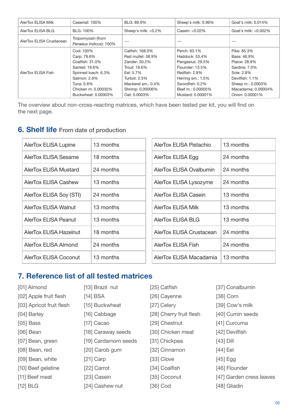| AlerTox ELISA Milk       | Caseinat: 100%                              | BLG: 89.9%          | Sheep's milk: 0.96% | Goat's milk: 0.014%      |
|--------------------------|---------------------------------------------|---------------------|---------------------|--------------------------|
| AlerTox ELISA BLG        | BLG: 100%                                   | Sheep's milk: <0.2% | Casein: $< 0.02\%$  | Goat's milk: $< 0.002\%$ |
| AlerTox ELISA Crustacean | Tropomyosin (from<br>Penaeus indicus): 100% | $- - -$             | ---                 |                          |
|                          | Cod: 100%                                   | Catfish: 168.0%     | Perch: 93.1%        | Pike: 85.3%              |
|                          | Carp: 79.6%                                 | Red mullet: 58.9%   | Haddock: 53.4%      | Bass: 46.9%              |
|                          | Coalfish: 31.0%                             | Zander: 30.2%       | Pangasius: 29.5%    | Plaice: 28.9%            |
|                          | Samlet: 19.6%                               | Trout: 18.6%        | Flounder: 13.5%     | Sardine: 7.0%            |
| AlerTox ELISA Fish       | Spinned loach: 6.3%                         | Eel: 5.7%           | Redfish: 2.8%       | Sole: 2.8%               |
|                          | Salmon: 2.6%                                | Turbot: 2.5%        | Herring sm.: 1.5%   | Devilfish: 1.1%          |
|                          | Tuna: 0.8%                                  | Mackerel sm.: 0.4%  | Swordfish: 0.2%     | Sheep m.: 0.0003%        |
|                          | Chicken m: 0.00035%                         | Shrimp: 0.00006%    | Beef m.: 0.00005%   | Macadamia: 0.00004%      |
|                          | Buckwheat: 0.00003%                         | Oat: 0.0003%        | Mustard: 0.00001%   | Onion: 0.00001%          |

The overview about non-cross-reacting matrices, which have been tested per kit, you will find on the next page.

## **6. Shelf life** From date of production

| AlerTox ELISA Lupine    | 13 months | AlerTox ELISA Pistachio   | 13 months |
|-------------------------|-----------|---------------------------|-----------|
| AlerTox ELISA Sesame    | 18 months | AlerTox ELISA Egg         | 24 months |
| AlerTox ELISA Mustard   | 24 months | AlerTox ELISA Ovalbumin   | 24 months |
| AlerTox ELISA Cashew    | 13 months | AlerTox ELISA Lysozyme    | 24 months |
| AlerTox ELISA Soy (STI) | 24 months | AlerTox ELISA Casein      | 13 months |
| AlerTox ELISA Walnut    | 13 months | <b>AlerTox ELISA Milk</b> | 13 months |
| AlerTox ELISA Peanut    | 13 months | AlerTox ELISA BLG         | 13 months |
| AlerTox ELISA Hazelnut  | 18 months | AlerTox ELISA Crustacean  | 24 months |
| AlerTox ELISA Almond    | 24 months | AlerTox ELISA Fish        | 24 months |
| AlerTox ELISA Coconut   | 13 months | AlerTox ELISA Macadamia   | 13 months |

## **7. Reference list of all tested matrices**

| [01] Almond              | [13] Brazil nut     | [25] Catfish            | [37] Conalbumin          |
|--------------------------|---------------------|-------------------------|--------------------------|
| [02] Apple fruit flesh   | $[14]$ BSA          | [26] Cayenne            | [38] Corn                |
| [03] Apricot fruit flesh | [15] Buckwheat      | [27] Celery             | [39] Cow's milk          |
| [04] Barley              | [16] Cabbage        | [28] Cherry fruit flesh | [40] Cumin seeds         |
| $[05]$ Bass              | [17] $Cacao$        | [29] Chestnut           | [41] Curcuma             |
| $[06]$ Bean              | [18] Caraway seeds  | [30] Chicken meat       | [42] Devilfish           |
| [07] Bean, green         | [19] Cardamom seeds | [31] Chickpea           | $[43]$ Dill              |
| [08] Bean, red           | [20] Carob gum      | [32] Cinnamon           | [44] Eel                 |
| [09] Bean, white         | $[21]$ Carp         | [33] Clove              | $[45]$ Egg               |
| [10] Beef gelatine       | [22] Carrot         | [34] Coalfish           | [46] Flounder            |
| [11] Beef meat           | [23] Casein         | [35] Coconut            | [47] Garden cress leaves |
| [12] BLG                 | [24] Cashew nut     | [36] Cod                | [48] Gliadin             |

05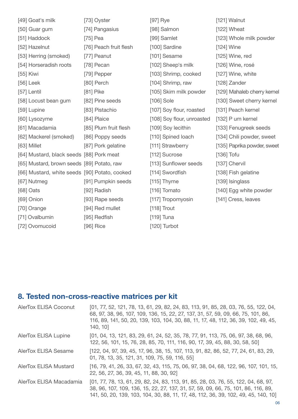| [49] Goat's milk                              | [73] Oyster            | $[97]$ Rye                 | [121] Walnut                |
|-----------------------------------------------|------------------------|----------------------------|-----------------------------|
| [50] Guar gum                                 | [74] Pangasius         | [98] Salmon                | $[122]$ Wheat               |
| [51] Haddock                                  | $[75]$ Pea             | [99] Samlet                | [123] Whole milk powder     |
| [52] Hazelnut                                 | [76] Peach fruit flesh | [100] Sardine              | $[124]$ Wine                |
| [53] Herring (smoked)                         | [77] Peanut            | [101] Sesame               | $[125]$ Wine, red           |
| [54] Horseradish roots                        | [78] Pecan             | [102] Sheep's milk         | [126] Wine, rosé            |
| $[55]$ Kiwi                                   | [79] Pepper            | [103] Shrimp, cooked       | [127] Wine, white           |
| $[56]$ Leek                                   | [80] Perch             | [104] Shrimp, raw          | [128] Zander                |
| [57] Lentil                                   | $[81]$ Pike            | [105] Skim milk powder     | [129] Mahaleb cherry kernel |
| [58] Locust bean gum                          | [82] Pine seeds        | [106] Sole                 | [130] Sweet cherry kernel   |
| [59] Lupine                                   | [83] Pistachio         | [107] Soy flour, roasted   | [131] Peach kernel          |
| [60] Lysozyme                                 | [84] Plaice            | [108] Soy flour, unroasted | [132] P um kernel           |
| [61] Macadamia                                | [85] Plum fruit flesh  | [109] Soy lecithin         | [133] Fenugreek seeds       |
| [62] Mackerel (smoked)                        | [86] Poppy seeds       | [110] Spined loach         | [134] Chili powder, sweet   |
| [63] Millet                                   | [87] Pork gelatine     | [111] Strawberry           | [135] Paprika powder, sweet |
| [64] Mustard, black seeds [88] Pork meat      |                        | [112] Sucrose              | $[136]$ Tofu                |
| [65] Mustard, brown seeds [89] Potato, raw    |                        | [113] Sunflower seeds      | [137] Chervil               |
| [66] Mustard, white seeds [90] Potato, cooked |                        | [114] Swordfish            | [138] Fish gelatine         |
| [67] Nutmeg                                   | [91] Pumpkin seeds     | $[115]$ Thyme              | [139] Isinglass             |
| $[68]$ Oats                                   | [92] Radish            | [116] Tomato               | [140] Egg white powder      |
| [69] Onion                                    | [93] Rape seeds        | [117] Tropomyosin          | [141] Cress, leaves         |
| [70] Orange                                   | [94] Red mullet        | $[118]$ Trout              |                             |
| [71] Ovalbumin                                | [95] Redfish           | $[119]$ Tuna               |                             |
| [72] Ovomucoid                                | [96] Rice              | [120] Turbot               |                             |

# **8. Tested non-cross-reactive matrices per kit**

| <b>AlerTox ELISA Coconut</b> | [01, 77, 52, 121, 78, 13, 61, 29, 82, 24, 83, 113, 91, 85, 28, 03, 76, 55, 122, 04,<br>68, 97, 38, 96, 107, 109, 136, 15, 22, 27, 137, 31, 57, 59, 09, 66, 75, 101, 86,<br>116, 89, 141, 50, 20, 139, 103, 104, 30, 88, 11, 17, 48, 112, 36, 39, 102, 49, 45,<br>140, 10] |
|------------------------------|---------------------------------------------------------------------------------------------------------------------------------------------------------------------------------------------------------------------------------------------------------------------------|
| <b>AlerTox ELISA Lupine</b>  | [01, 04, 13, 121, 83, 29, 61, 24, 52, 35, 78, 77, 91, 113, 75, 06, 97, 38, 68, 96,<br>122, 56, 101, 15, 76, 28, 85, 70, 111, 116, 90, 17, 39, 45, 88, 30, 58, 50]                                                                                                         |
| <b>AlerTox ELISA Sesame</b>  | [122, 04, 97, 39, 45, 17, 96, 38, 15, 107, 113, 91, 82, 86, 52, 77, 24, 61, 83, 29,<br>01, 78, 13, 35, 121, 31, 109, 75, 59, 116, 55]                                                                                                                                     |
| <b>AlerTox ELISA Mustard</b> | [16, 79, 41, 26, 33, 67, 32, 43, 115, 75, 06, 97, 38, 04, 68, 122, 96, 107, 101, 15,<br>22, 56, 27, 36, 39, 45, 11, 88, 30, 92]                                                                                                                                           |
| AlerTox ELISA Macadamia      | [01, 77, 78, 13, 61, 29, 82, 24, 83, 113, 91, 85, 28, 03, 76, 55, 122, 04, 68, 97,<br>38, 96, 107, 109, 136, 15, 22, 27, 137, 31, 57, 59, 09, 66, 75, 101, 86, 116, 89,<br>141, 50, 20, 139, 103, 104, 30, 88, 11, 17, 48, 112, 36, 39, 102, 49, 45, 140, 10]             |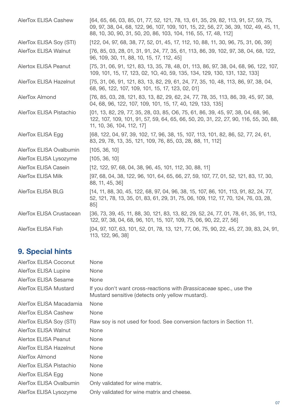| <b>AlerTox ELISA Cashew</b>   | [64, 65, 66, 03, 85, 01, 77, 52, 121, 78, 13, 61, 35, 29, 82, 113, 91, 57, 59, 75,<br>09, 97, 38, 04, 68, 122, 96, 107, 109, 101, 15, 22, 56, 27, 36, 39, 102, 49, 45, 11,<br>88, 10, 30, 90, 31, 50, 20, 86, 103, 104, 116, 55, 17, 48, 112] |
|-------------------------------|-----------------------------------------------------------------------------------------------------------------------------------------------------------------------------------------------------------------------------------------------|
| AlerTox ELISA Soy (STI)       | [122, 04, 97, 68, 38, 77, 52, 01, 45, 17, 112, 10, 88, 11, 30, 96, 75, 31, 06, 39]                                                                                                                                                            |
| <b>AlerTox ELISA Walnut</b>   | [76, 85, 03, 28, 01, 31, 91, 24, 77, 35, 61, 113, 86, 39, 102, 97, 38, 04, 68, 122,<br>96, 109, 30, 11, 88, 10, 15, 17, 112, 45]                                                                                                              |
| <b>Alertox ELISA Peanut</b>   | [75, 31, 06, 91, 121, 83, 13, 35, 78, 48, 01, 113, 86, 97, 38, 04, 68, 96, 122, 107,<br>109, 101, 15, 17, 123, 02, 10, 40, 59, 135, 134, 129, 130, 131, 132, 133]                                                                             |
| <b>AlerTox ELISA Hazelnut</b> | [75, 31, 06, 91, 121, 83, 13, 82, 29, 61, 24, 77, 35, 10, 48, 113, 86, 97, 38, 04,<br>68, 96, 122, 107, 109, 101, 15, 17, 123, 02, 01]                                                                                                        |
| AlerTox Almond                | [76, 85, 03, 28, 121, 83, 13, 82, 29, 62, 24, 77, 78, 35, 113, 86, 39, 45, 97, 38,<br>04, 68, 96, 122, 107, 109, 101, 15, 17, 40, 129, 133, 135]                                                                                              |
| AlerTox ELISA Pistachio       | [01, 13, 82, 29, 77, 35, 28, 03, 85, O6, 75, 61, 86, 39, 45, 97, 38, 04, 68, 96,<br>122, 107, 109, 101, 91, 57, 59, 64, 65, 66, 50, 20, 31, 22, 27, 90, 116, 55, 30, 88,<br>11, 10, 36, 104, 112, 17]                                         |
| AlerTox ELISA Egg             | [68, 122, 04, 97, 39, 102, 17, 96, 38, 15, 107, 113, 101, 82, 86, 52, 77, 24, 61,<br>83, 29, 78, 13, 35, 121, 109, 76, 85, 03, 28, 88, 11, 112]                                                                                               |
| AlerTox ELISA Ovalbumin       | [105, 36, 10]                                                                                                                                                                                                                                 |
| AlerTox ELISA Lysozyme        | [105, 36, 10]                                                                                                                                                                                                                                 |
| AlerTox ELISA Casein          | $[12, 122, 97, 68, 04, 38, 96, 45, 101, 112, 30, 88, 11]$                                                                                                                                                                                     |
| <b>AlerTox ELISA Milk</b>     | [97, 68, 04, 38, 122, 96, 101, 64, 65, 66, 27, 59, 107, 77, 01, 52, 121, 83, 17, 30,<br>88, 11, 45, 36]                                                                                                                                       |
| <b>AlerTox ELISA BLG</b>      | [14, 11, 88, 30, 45, 122, 68, 97, 04, 96, 38, 15, 107, 86, 101, 113, 91, 82, 24, 77,<br>52, 121, 78, 13, 35, 01, 83, 61, 29, 31, 75, 06, 109, 112, 17, 70, 124, 76, 03, 28,<br>85]                                                            |
| AlerTox ELISA Crustacean      | [36, 73, 39, 45, 11, 88, 30, 121, 83, 13, 82, 29, 52, 24, 77, 01, 78, 61, 35, 91, 113,<br>122, 97, 38, 04, 68, 96, 101, 15, 107, 109, 75, 06, 90, 22, 27, 56]                                                                                 |
| <b>AlerTox ELISA Fish</b>     | [04, 97, 107, 63, 101, 52, 01, 78, 13, 121, 77, 06, 75, 90, 22, 45, 27, 39, 83, 24, 91,<br>113, 122, 96, 38]                                                                                                                                  |

# **9. Special hints**

| <b>AlerTox ELISA Coconut</b>  | <b>None</b>                                                                                                            |
|-------------------------------|------------------------------------------------------------------------------------------------------------------------|
| <b>AlerTox ELISA Lupine</b>   | <b>None</b>                                                                                                            |
| <b>AlerTox ELISA Sesame</b>   | <b>None</b>                                                                                                            |
| <b>AlerTox ELISA Mustard</b>  | If you don't want cross-reactions with Brassicaceae spec., use the<br>Mustard sensitive (detects only yellow mustard). |
| AlerTox ELISA Macadamia       | <b>None</b>                                                                                                            |
| AlerTox ELISA Cashew          | <b>None</b>                                                                                                            |
| AlerTox ELISA Soy (STI)       | Raw soy is not used for food. See conversion factors in Section 11.                                                    |
| <b>AlerTox ELISA Walnut</b>   | None                                                                                                                   |
| <b>Alertox ELISA Peanut</b>   | <b>None</b>                                                                                                            |
| <b>AlerTox ELISA Hazelnut</b> | <b>None</b>                                                                                                            |
| AlerTox Almond                | None                                                                                                                   |
| AlerTox ELISA Pistachio       | <b>None</b>                                                                                                            |
| AlerTox ELISA Egg             | <b>None</b>                                                                                                            |
| AlerTox ELISA Ovalbumin       | Only validated for wine matrix.                                                                                        |
| AlerTox ELISA Lysozyme        | Only validated for wine matrix and cheese.                                                                             |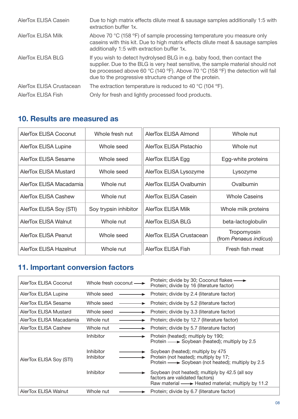| AlerTox ELISA Casein      | Due to high matrix effects dilute meat & sausage samples additionally 1:5 with<br>extraction buffer 1x.                                                                                                                                                                                                   |
|---------------------------|-----------------------------------------------------------------------------------------------------------------------------------------------------------------------------------------------------------------------------------------------------------------------------------------------------------|
| <b>AlerTox ELISA Milk</b> | Above 70 °C (158 °F) of sample processing temperature you measure only<br>caseins with this kit. Due to high matrix effects dilute meat & sausage samples<br>additionally 1:5 with extraction buffer 1x.                                                                                                  |
| AlerTox ELISA BLG         | If you wish to detect hydrolysed BLG in e.g. baby food, then contact the<br>supplier. Due to the BLG is very heat sensitive, the sample material should not<br>be processed above 60 °C (140 °F). Above 70 °C (158 °F) the detection will fail<br>due to the progressive structure change of the protein. |
| AlerTox ELISA Crustacean  | The extraction temperature is reduced to 40 $^{\circ}$ C (104 $^{\circ}$ F).                                                                                                                                                                                                                              |
| AlerTox ELISA Fish        | Only for fresh and lightly processed food products.                                                                                                                                                                                                                                                       |

## **10. Results are measured as**

| AlerTox ELISA Coconut       | Whole fresh nut       | AlerTox ELISA Almond      | Whole nut                             |
|-----------------------------|-----------------------|---------------------------|---------------------------------------|
| <b>AlerTox ELISA Lupine</b> | Whole seed            | AlerTox ELISA Pistachio   | Whole nut                             |
| AlerTox ELISA Sesame        | Whole seed            | AlerTox ELISA Egg         | Egg-white proteins                    |
| AlerTox ELISA Mustard       | Whole seed            | AlerTox ELISA Lysozyme    | Lysozyme                              |
| AlerTox ELISA Macadamia     | Whole nut             | AlerTox ELISA Ovalbumin   | Ovalbumin                             |
| AlerTox ELISA Cashew        | Whole nut             | AlerTox ELISA Casein      | <b>Whole Caseins</b>                  |
| AlerTox ELISA Soy (STI)     | Soy trypsin inhibitor | <b>AlerTox ELISA Milk</b> | Whole milk proteins                   |
| AlerTox ELISA Walnut        | Whole nut             | AlerTox ELISA BLG         | beta-lactoglobulin                    |
| AlerTox ELISA Peanut        | Whole seed            | AlerTox ELISA Crustacean  | Tropomyosin<br>(from Penaeus indicus) |
| AlerTox ELISA Hazelnut      | Whole nut             | <b>AlerTox ELISA Fish</b> | Fresh fish meat                       |

## **11. lmportant conversion factors**

| AlerTox ELISA Coconut   | Whole fresh coconut —  | Protein; divide by 30; Coconut flakes — →<br>Protein; divide by 16 (literature factor)                                                |
|-------------------------|------------------------|---------------------------------------------------------------------------------------------------------------------------------------|
| AlerTox ELISA Lupine    | Whole seed             | Protein; divide by 2.4 (literature factor)                                                                                            |
| AlerTox ELISA Sesame    | Whole seed<br>►        | Protein; divide by 5.2 (literature factor)                                                                                            |
| AlerTox ELISA Mustard   | Whole seed             | Protein; divide by 3.3 (literature factor)                                                                                            |
| AlerTox ELISA Macadamia | Whole nut              | Protein; divide by 12.7 (literature factor)                                                                                           |
| AlerTox ELISA Cashew    | Whole nut              | Protein; divide by 5.7 (literature factor)                                                                                            |
|                         | Inhibitor              | Protein (heated); multiply by 190;<br>Protein — ► Soybean (heated); multiply by 2.5                                                   |
| AlerTox ELISA Soy (STI) | Inhibitor<br>Inhibitor | Soybean (heated); multiply by 475<br>Protein (not heated); multiply by 17;<br>Protein - Soybean (not heated); multiply by 2.5         |
|                         | Inhibitor              | Soybean (not heated); multiply by 42.5 (all soy<br>factors are validated factors)<br>Raw material - Heated material; multiply by 11.2 |
| AlerTox ELISA Walnut    | Whole nut              | Protein; divide by 6.7 (literature factor)                                                                                            |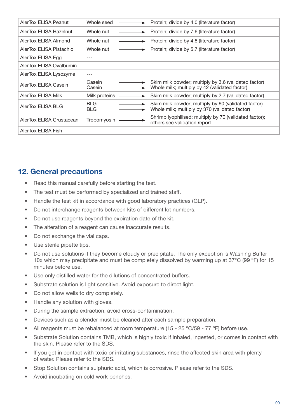| AlerTox ELISA Peanut      | Whole seed               | Protein; divide by 4.0 (literature factor)                                                            |
|---------------------------|--------------------------|-------------------------------------------------------------------------------------------------------|
| AlerTox ELISA Hazelnut    | Whole nut                | Protein; divide by 7.6 (literature factor)                                                            |
| AlerTox ELISA Almond      | Whole nut                | Protein; divide by 4.8 (literature factor)                                                            |
| AlerTox ELISA Pistachio   | Whole nut                | Protein; divide by 5.7 (literature factor)                                                            |
| AlerTox ELISA Egg         |                          |                                                                                                       |
| AlerTox ELISA Ovalbumin   |                          |                                                                                                       |
| AlerTox ELISA Lysozyme    |                          |                                                                                                       |
| AlerTox ELISA Casein      | Casein<br>Casein         | Skim milk powder; multiply by 3.6 (validated factor)<br>Whole milk; multiply by 42 (validated factor) |
| <b>AlerTox ELISA Milk</b> | Milk proteins            | Skim milk powder; multiply by 2.7 (validated factor)                                                  |
| AlerTox ELISA BLG         | <b>BLG</b><br><b>BLG</b> | Skim milk powder; multiply by 60 (validated factor)<br>Whole milk; multiply by 370 (validated factor) |
| AlerTox ELISA Crustacean  | Tropomyosin              | Shrimp lyophilised; multiply by 70 (validated factor);<br>others see validation report                |
| AlerTox ELISA Fish        |                          |                                                                                                       |

## **12. General precautions**

- Read this manual carefully before starting the test.
- The test must be performed by specialized and trained staff.
- Handle the test kit in accordance with good laboratory practices (GLP).
- Do not interchange reagents between kits of different lot numbers.
- Do not use reagents beyond the expiration date of the kit.
- The alteration of a reagent can cause inaccurate results.
- Do not exchange the vial caps.
- Use sterile pipette tips.
- Do not use solutions if they become cloudy or precipitate. The only exception is Washing Buffer 10x which may precipitate and must be completely dissolved by warming up at 37°C (99 ºF) for 15 minutes before use.
- Use only distilled water for the dilutions of concentrated buffers.
- Substrate solution is light sensitive. Avoid exposure to direct light.
- Do not allow wells to dry completely.
- Handle any solution with gloves.
- During the sample extraction, avoid cross-contamination.
- Devices such as a blender must be cleaned after each sample preparation.
- All reagents must be rebalanced at room temperature (15 25 °C/59 77 °F) before use.
- Substrate Solution contains TMB, which is highly toxic if inhaled, ingested, or comes in contact with the skin. Please refer to the SDS.
- lf you get in contact with toxic or irritating substances, rinse the affected skin area with plenty of water. Please refer to the SDS.
- Stop Solution contains sulphuric acid, which is corrosive. Please refer to the SDS.
- Avoid incubating on cold work benches.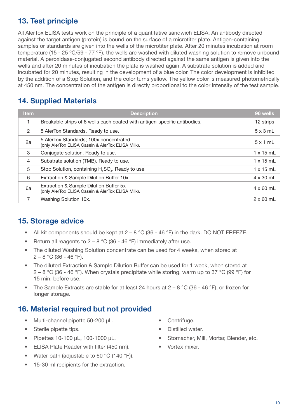## **13. Test principle**

All AlerTox ELISA tests work on the principle of a quantitative sandwich ELISA. An antibody directed against the target antigen (protein) is bound on the surface of a microtiter plate. Antigen-containing samples or standards are given into the wells of the microtiter plate. After 20 minutes incubation at room temperature (15 - 25 °C/59 - 77 °F), the wells are washed with diluted washing solution to remove unbound material. A peroxidase-conjugated second antibody directed against the same antigen is given into the wells and after 20 minutes of incubation the plate is washed again. A substrate solution is added and incubated for 20 minutes, resulting in the development of a blue color. The color development is inhibited by the addition of a Stop Solution, and the color turns yellow. The yellow color is measured photometrically at 450 nm. The concentration of the antigen is directly proportional to the color intensity of the test sample.

## **14. Supplied Materials**

| <b>Item</b>   | <b>Description</b>                                                                          | 96 wells         |
|---------------|---------------------------------------------------------------------------------------------|------------------|
|               | Breakable strips of 8 wells each coated with antigen-specific antibodies.                   | 12 strips        |
| $\mathcal{P}$ | 5 AlerTox Standards. Ready to use.                                                          | $5 \times 3$ mL  |
| 2a            | 5 AlerTox Standards; 100x concentrated<br>(only AlerTox ELISA Casein & AlerTox ELISA Milk). | $5 \times 1$ mL  |
| 3             | Conjugate solution. Ready to use.                                                           | $1 \times 15$ mL |
| 4             | Substrate solution (TMB). Ready to use.                                                     | $1 \times 15$ mL |
| 5             | Stop Solution, containing H <sub>2</sub> SO <sub>4</sub> . Ready to use.                    | $1 \times 15$ mL |
| 6             | Extraction & Sample Dilution Buffer 10x.                                                    | $4 \times 30$ mL |
| 6a            | Extraction & Sample Dilution Buffer 5x<br>(only AlerTox ELISA Casein & AlerTox ELISA Milk). | $4 \times 60$ mL |
|               | Washing Solution 10x.                                                                       | $2 \times 60$ mL |

## **15. Storage advice**

- All kit components should be kept at  $2 8$  °C (36 46 °F) in the dark. DO NOT FREEZE.
- Return all reagents to  $2 8$  °C (36 46 °F) immediately after use.
- The diluted Washing Solution concentrate can be used for 4 weeks, when stored at  $2 - 8$  °C (36 - 46 °F).
- The diluted Extraction & Sample Dilution Buffer can be used for 1 week, when stored at 2 – 8 °C (36 - 46 °F). When crystals precipitate while storing, warm up to 37 °C (99 °F) for 15 min. before use.
- The Sample Extracts are stable for at least 24 hours at  $2 8$  °C (36 46 °F), or frozen for longer storage.

## **16. Material required but not provided**

- Multi-channel pipette 50-200 µL.
- Sterile pipette tips.
- Pipettes 10-100 µL, 100-1000 µL.
- ELISA Plate Reader with filter (450 nm).
- Water bath (adjustable to 60 °C (140 °F)).
- 15-30 ml recipients for the extraction.
- Centrifuge.
- Distilled water.
- Stomacher, Mill, Mortar, Blender, etc.
- Vortex mixer.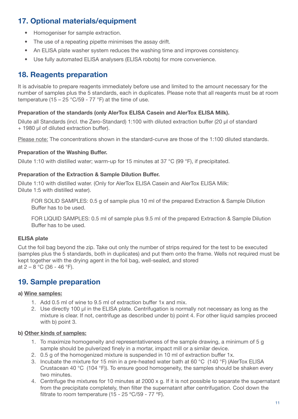## **17. Optional materials/equipment**

- Homogeniser for sample extraction.
- The use of a repeating pipette minimises the assay drift.
- An ELISA plate washer system reduces the washing time and improves consistency.
- Use fully automated ELISA analysers (ELISA robots) for more convenience.

## **18. Reagents preparation**

It is advisable to prepare reagents immediately before use and limited to the amount necessary for the number of samples plus the 5 standards, each in duplicates. Please note that all reagents must be at room temperature (15 – 25 °C/59 - 77 °F) at the time of use.

#### **Preparation of the standards (only AlerTox ELISA Casein and AlerTox ELISA Milk).**

Dilute all Standards (incl. the Zero-Standard) 1:100 with diluted extraction buffer (20 µl of standard + 1980 µl of diluted extraction buffer).

Please note: The concentrations shown in the standard-curve are those of the 1:100 diluted standards.

#### **Preparation of the Washing Buffer.**

Dilute 1:10 with distilled water; warm-up for 15 minutes at 37 °C (99 °F), if precipitated.

#### **Preparation of the Extraction & Sample Dilution Buffer.**

Dilute 1:10 with distilled water. (Only for AlerTox ELISA Casein and AlerTox ELISA Milk: Dilute 1:5 with distilled water).

FOR SOLlD SAMPLES: 0.5 g of sample plus 10 ml of the prepared Extraction & Sample Dilution Buffer has to be used.

FOR LlQUlD SAMPLES: 0.5 ml of sample plus 9.5 ml of the prepared Extraction & Sample Dilution Buffer has to be used.

#### **ELISA plate**

Cut the foil bag beyond the zip. Take out only the number of strips required for the test to be executed (samples plus the 5 standards, both in duplicates) and put them onto the frame. Wells not required must be kept together with the drying agent in the foil bag, well-sealed, and stored at  $2 - 8$  °C (36 - 46 °F).

## **19. Sample preparation**

#### **a) Wine samples:**

- 1. Add 0.5 ml of wine to 9.5 ml of extraction buffer 1x and mix.
- 2. Use directly 100 µl in the ELISA plate. Centrifugation is normally not necessary as long as the mixture is clear. If not, centrifuge as described under b) point 4. For other liquid samples proceed with b) point 3.

#### **b) Other kinds of samples:**

- 1. To maximize homogeneity and representativeness of the sample drawing, a minimum of 5 g sample should be pulverized finely in a mortar, impact mill or a similar device.
- 2. 0.5 g of the homogenized mixture is suspended in 10 ml of extraction buffer 1x.
- 3. Incubate the mixture for 15 min in a pre-heated water bath at 60 °C (140 °F) (AlerTox ELISA Crustacean 40 °C (104 °F)). To ensure good homogeneity, the samples should be shaken every two minutes.
- 4. Centrifuge the mixtures for 10 minutes at 2000 x g. If it is not possible to separate the supernatant from the precipitate completely, then filter the supernatant after centrifugation. Cool down the filtrate to room temperature (15 - 25 °C/59 - 77 °F).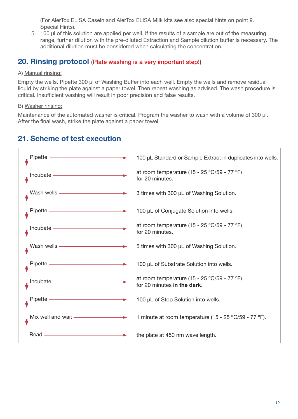(For AlerTox ELISA Casein and AlerTox ELISA Milk kits see also special hints on point 9. Special Hints).

5. 100 µl of this solution are applied per well. If the results of a sample are out of the measuring range, further dilution with the pre-diluted Extraction and Sample dilution buffer is necessary. The additional dilution must be considered when calculating the concentration.

## **20. Rinsing protocol** (Plate washing is a very important step!)

#### A) Manual rinsing:

Empty the wells. Pipette 300 µl of Washing Buffer into each well. Empty the wells and remove residual liquid by striking the plate against a paper towel. Then repeat washing as advised. The wash procedure is critical. Insufficient washing will result in poor precision and false results.

### B) Washer rinsing:

Maintenance of the automated washer is critical. Program the washer to wash with a volume of 300 µl. After the final wash, strike the plate against a paper towel.

## **21. Scheme of test execution**

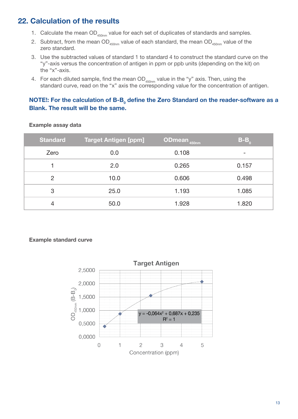## **22. Calculation of the results**

- 1. Calculate the mean  $OD_{450nm}$  value for each set of duplicates of standards and samples.
- 2. Subtract, from the mean  $OD_{450nm}$  value of each standard, the mean  $OD_{450nm}$  value of the zero standard.
- 3. Use the subtracted values of standard 1 to standard 4 to construct the standard curve on the "y"-axis versus the concentration of antigen in ppm or ppb units (depending on the kit) on the "x"-axis.
- 4. For each diluted sample, find the mean  $OD_{450nm}$  value in the "y" axis. Then, using the standard curve, read on the "x" axis the corresponding value for the concentration of antigen.

### **NOTE!: For the calculation of B-B<sub>0</sub> define the Zero Standard on the reader-software as a Blank. The result will be the same.**

| <b>Standard</b> | <b>Target Antigen [ppm]</b> | <b>ODmean</b> 450nm | $B-B_0$ |
|-----------------|-----------------------------|---------------------|---------|
| Zero            | 0.0                         | 0.108               |         |
|                 | 2.0                         | 0.265               | 0.157   |
| $\overline{2}$  | 10.0                        | 0.606               | 0.498   |
| 3               | 25.0                        | 1.193               | 1.085   |
| 4               | 50.0                        | 1.928               | 1.820   |

#### **Example assay data**

#### **Example standard curve**

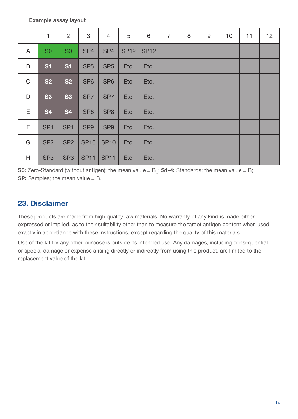|             | 1               | $\overline{2}$  | 3               | $\overline{4}$  | 5           | 6           | $\overline{7}$ | 8 | 9 | 10 | 11 | 12 |
|-------------|-----------------|-----------------|-----------------|-----------------|-------------|-------------|----------------|---|---|----|----|----|
| A           | S <sub>0</sub>  | S <sub>0</sub>  | SP <sub>4</sub> | SP <sub>4</sub> | <b>SP12</b> | <b>SP12</b> |                |   |   |    |    |    |
| B           | <b>S1</b>       | <b>S1</b>       | SP <sub>5</sub> | SP <sub>5</sub> | Etc.        | Etc.        |                |   |   |    |    |    |
| $\mathsf C$ | <b>S2</b>       | <b>S2</b>       | SP <sub>6</sub> | SP <sub>6</sub> | Etc.        | Etc.        |                |   |   |    |    |    |
| D           | <b>S3</b>       | <b>S3</b>       | SP <sub>7</sub> | SP <sub>7</sub> | Etc.        | Etc.        |                |   |   |    |    |    |
| E.          | <b>S4</b>       | <b>S4</b>       | SP <sub>8</sub> | SP <sub>8</sub> | Etc.        | Etc.        |                |   |   |    |    |    |
| F           | SP <sub>1</sub> | SP <sub>1</sub> | SP <sub>9</sub> | SP <sub>9</sub> | Etc.        | Etc.        |                |   |   |    |    |    |
| G           | SP <sub>2</sub> | SP <sub>2</sub> | <b>SP10</b>     | <b>SP10</b>     | Etc.        | Etc.        |                |   |   |    |    |    |
| H           | SP <sub>3</sub> | SP <sub>3</sub> | <b>SP11</b>     | <b>SP11</b>     | Etc.        | Etc.        |                |   |   |    |    |    |

**S0:** Zero-Standard (without antigen); the mean value =  $B_0$ ; **S1-4:** Standards; the mean value = B; **SP:** Samples; the mean value = B.

## **23. Disclaimer**

These products are made from high quality raw materials. No warranty of any kind is made either expressed or implied, as to their suitability other than to measure the target antigen content when used exactly in accordance with these instructions, except regarding the quality of this materials.

Use of the kit for any other purpose is outside its intended use. Any damages, including consequential or special damage or expense arising directly or indirectly from using this product, are limited to the replacement value of the kit.